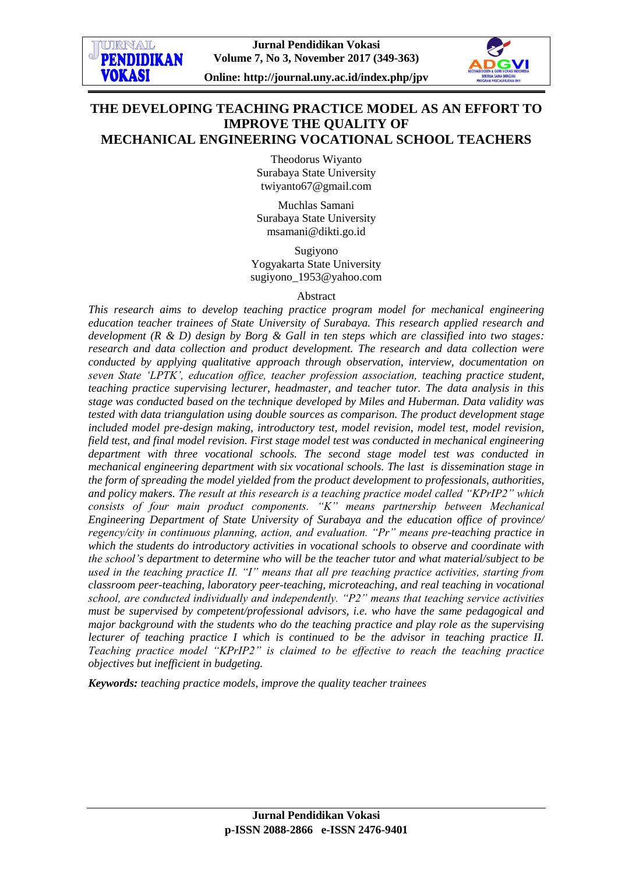

# **THE DEVELOPING TEACHING PRACTICE MODEL AS AN EFFORT TO IMPROVE THE QUALITY OF MECHANICAL ENGINEERING VOCATIONAL SCHOOL TEACHERS**

Theodorus Wiyanto Surabaya State University [twiyanto67@gmail.com](mailto:twiyanto67@gmail.com)

Muchlas Samani Surabaya State University [msamani@dikti.go.id](mailto:msamani@dikti.go.id)

Sugiyono Yogyakarta State University sugiyono\_1953@yahoo.com

#### Abstract

*This research aims to develop teaching practice program model for mechanical engineering education teacher trainees of State University of Surabaya. This research applied research and development (R & D) design by Borg & Gall in ten steps which are classified into two stages: research and data collection and product development. The research and data collection were conducted by applying qualitative approach through observation, interview, documentation on seven State "LPTK", education office, teacher profession association, teaching practice student, teaching practice supervising lecturer, headmaster, and teacher tutor. The data analysis in this stage was conducted based on the technique developed by Miles and Huberman. Data validity was tested with data triangulation using double sources as comparison. The product development stage included model pre-design making, introductory test, model revision, model test, model revision, field test, and final model revision. First stage model test was conducted in mechanical engineering department with three vocational schools. The second stage model test was conducted in mechanical engineering department with six vocational schools. The last is dissemination stage in the form of spreading the model yielded from the product development to professionals, authorities, and policy makers. The result at this research is a teaching practice model called "KPrIP2" which consists of four main product components. "K" means partnership between Mechanical Engineering Department of State University of Surabaya and the education office of province/ regency/city in continuous planning, action, and evaluation. "Pr" means pre-teaching practice in which the students do introductory activities in vocational schools to observe and coordinate with the school"s department to determine who will be the teacher tutor and what material/subject to be used in the teaching practice II. "I" means that all pre teaching practice activities, starting from classroom peer-teaching, laboratory peer-teaching, microteaching, and real teaching in vocational school, are conducted individually and independently. "P2" means that teaching service activities must be supervised by competent/professional advisors, i.e. who have the same pedagogical and major background with the students who do the teaching practice and play role as the supervising lecturer of teaching practice I which is continued to be the advisor in teaching practice II. Teaching practice model "KPrIP2" is claimed to be effective to reach the teaching practice objectives but inefficient in budgeting.* 

*Keywords: teaching practice models, improve the quality teacher trainees*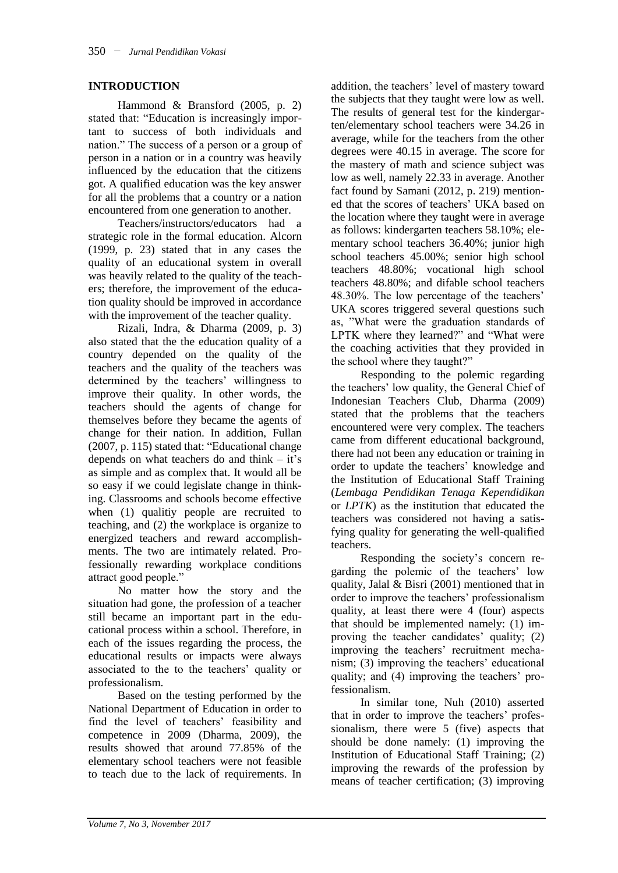### **INTRODUCTION**

Hammond & Bransford (2005, p. 2) stated that: "Education is increasingly important to success of both individuals and nation." The success of a person or a group of person in a nation or in a country was heavily influenced by the education that the citizens got. A qualified education was the key answer for all the problems that a country or a nation encountered from one generation to another.

Teachers/instructors/educators had a strategic role in the formal education. Alcorn (1999, p. 23) stated that in any cases the quality of an educational system in overall was heavily related to the quality of the teachers; therefore, the improvement of the education quality should be improved in accordance with the improvement of the teacher quality.

Rizali, Indra, & Dharma (2009, p. 3) also stated that the the education quality of a country depended on the quality of the teachers and the quality of the teachers was determined by the teachers' willingness to improve their quality. In other words, the teachers should the agents of change for themselves before they became the agents of change for their nation. In addition, Fullan (2007, p. 115) stated that: "Educational change depends on what teachers do and think – it's as simple and as complex that. It would all be so easy if we could legislate change in thinking. Classrooms and schools become effective when (1) qualitiy people are recruited to teaching, and (2) the workplace is organize to energized teachers and reward accomplishments. The two are intimately related. Professionally rewarding workplace conditions attract good people."

No matter how the story and the situation had gone, the profession of a teacher still became an important part in the educational process within a school. Therefore, in each of the issues regarding the process, the educational results or impacts were always associated to the to the teachers' quality or professionalism.

Based on the testing performed by the National Department of Education in order to find the level of teachers' feasibility and competence in 2009 (Dharma, 2009), the results showed that around 77.85% of the elementary school teachers were not feasible to teach due to the lack of requirements. In

addition, the teachers' level of mastery toward the subjects that they taught were low as well. The results of general test for the kindergarten/elementary school teachers were 34.26 in average, while for the teachers from the other degrees were 40.15 in average. The score for the mastery of math and science subject was low as well, namely 22.33 in average. Another fact found by Samani (2012, p. 219) mentioned that the scores of teachers' UKA based on the location where they taught were in average as follows: kindergarten teachers 58.10%; elementary school teachers 36.40%; junior high school teachers 45.00%; senior high school teachers 48.80%; vocational high school teachers 48.80%; and difable school teachers 48.30%. The low percentage of the teachers' UKA scores triggered several questions such as, "What were the graduation standards of LPTK where they learned?" and "What were the coaching activities that they provided in the school where they taught?"

Responding to the polemic regarding the teachers' low quality, the General Chief of Indonesian Teachers Club, Dharma (2009) stated that the problems that the teachers encountered were very complex. The teachers came from different educational background, there had not been any education or training in order to update the teachers' knowledge and the Institution of Educational Staff Training (*Lembaga Pendidikan Tenaga Kependidikan* or *LPTK*) as the institution that educated the teachers was considered not having a satisfying quality for generating the well-qualified teachers.

Responding the society's concern regarding the polemic of the teachers' low quality, Jalal & Bisri (2001) mentioned that in order to improve the teachers' professionalism quality, at least there were 4 (four) aspects that should be implemented namely: (1) improving the teacher candidates' quality; (2) improving the teachers' recruitment mechanism; (3) improving the teachers' educational quality; and (4) improving the teachers' professionalism.

In similar tone, Nuh (2010) asserted that in order to improve the teachers' professionalism, there were 5 (five) aspects that should be done namely: (1) improving the Institution of Educational Staff Training; (2) improving the rewards of the profession by means of teacher certification; (3) improving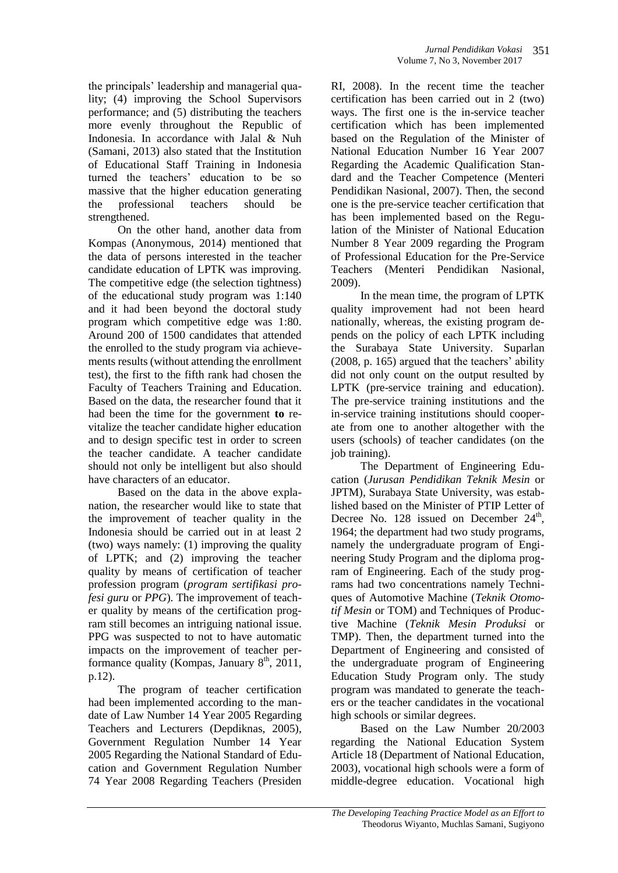the principals' leadership and managerial quality; (4) improving the School Supervisors performance; and (5) distributing the teachers more evenly throughout the Republic of Indonesia. In accordance with Jalal & Nuh (Samani, 2013) also stated that the Institution of Educational Staff Training in Indonesia turned the teachers' education to be so massive that the higher education generating the professional teachers should be strengthened.

On the other hand, another data from Kompas (Anonymous, 2014) mentioned that the data of persons interested in the teacher candidate education of LPTK was improving. The competitive edge (the selection tightness) of the educational study program was 1:140 and it had been beyond the doctoral study program which competitive edge was 1:80. Around 200 of 1500 candidates that attended the enrolled to the study program via achievements results (without attending the enrollment test), the first to the fifth rank had chosen the Faculty of Teachers Training and Education. Based on the data, the researcher found that it had been the time for the government **to** revitalize the teacher candidate higher education and to design specific test in order to screen the teacher candidate. A teacher candidate should not only be intelligent but also should have characters of an educator.

Based on the data in the above explanation, the researcher would like to state that the improvement of teacher quality in the Indonesia should be carried out in at least 2 (two) ways namely: (1) improving the quality of LPTK; and (2) improving the teacher quality by means of certification of teacher profession program (*program sertifikasi profesi guru* or *PPG*). The improvement of teacher quality by means of the certification program still becomes an intriguing national issue. PPG was suspected to not to have automatic impacts on the improvement of teacher performance quality (Kompas, January  $8<sup>th</sup>$ , 2011, p.12).

The program of teacher certification had been implemented according to the mandate of Law Number 14 Year 2005 Regarding Teachers and Lecturers (Depdiknas, 2005), Government Regulation Number 14 Year 2005 Regarding the National Standard of Education and Government Regulation Number 74 Year 2008 Regarding Teachers (Presiden

RI, 2008). In the recent time the teacher certification has been carried out in 2 (two) ways. The first one is the in-service teacher certification which has been implemented based on the Regulation of the Minister of National Education Number 16 Year 2007 Regarding the Academic Qualification Standard and the Teacher Competence (Menteri Pendidikan Nasional, 2007). Then, the second one is the pre-service teacher certification that has been implemented based on the Regulation of the Minister of National Education Number 8 Year 2009 regarding the Program of Professional Education for the Pre-Service Teachers (Menteri Pendidikan Nasional, 2009).

In the mean time, the program of LPTK quality improvement had not been heard nationally, whereas, the existing program depends on the policy of each LPTK including the Surabaya State University. Suparlan (2008, p. 165) argued that the teachers' ability did not only count on the output resulted by LPTK (pre-service training and education). The pre-service training institutions and the in-service training institutions should cooperate from one to another altogether with the users (schools) of teacher candidates (on the job training).

The Department of Engineering Education (*Jurusan Pendidikan Teknik Mesin* or JPTM), Surabaya State University, was established based on the Minister of PTIP Letter of Decree No. 128 issued on December  $24<sup>th</sup>$ , 1964; the department had two study programs, namely the undergraduate program of Engineering Study Program and the diploma program of Engineering. Each of the study programs had two concentrations namely Techniques of Automotive Machine (*Teknik Otomotif Mesin* or TOM) and Techniques of Productive Machine (*Teknik Mesin Produksi* or TMP). Then, the department turned into the Department of Engineering and consisted of the undergraduate program of Engineering Education Study Program only. The study program was mandated to generate the teachers or the teacher candidates in the vocational high schools or similar degrees.

Based on the Law Number 20/2003 regarding the National Education System Article 18 (Department of National Education, 2003), vocational high schools were a form of middle-degree education. Vocational high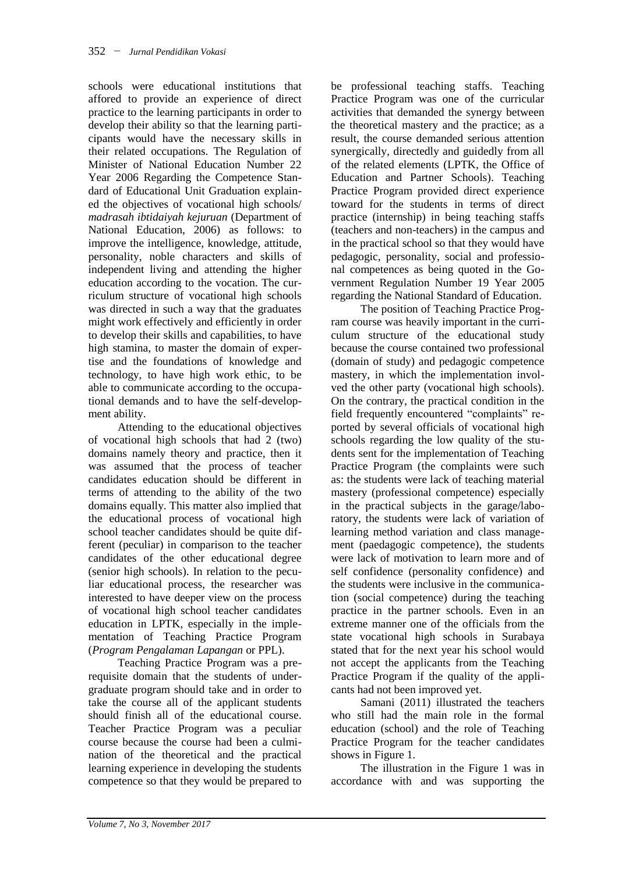schools were educational institutions that affored to provide an experience of direct practice to the learning participants in order to develop their ability so that the learning participants would have the necessary skills in their related occupations. The Regulation of Minister of National Education Number 22 Year 2006 Regarding the Competence Standard of Educational Unit Graduation explained the objectives of vocational high schools/ *madrasah ibtidaiyah kejuruan* (Department of National Education, 2006) as follows: to improve the intelligence, knowledge, attitude, personality, noble characters and skills of independent living and attending the higher education according to the vocation. The curriculum structure of vocational high schools was directed in such a way that the graduates might work effectively and efficiently in order to develop their skills and capabilities, to have high stamina, to master the domain of expertise and the foundations of knowledge and technology, to have high work ethic, to be able to communicate according to the occupational demands and to have the self-development ability.

Attending to the educational objectives of vocational high schools that had 2 (two) domains namely theory and practice, then it was assumed that the process of teacher candidates education should be different in terms of attending to the ability of the two domains equally. This matter also implied that the educational process of vocational high school teacher candidates should be quite different (peculiar) in comparison to the teacher candidates of the other educational degree (senior high schools). In relation to the peculiar educational process, the researcher was interested to have deeper view on the process of vocational high school teacher candidates education in LPTK, especially in the implementation of Teaching Practice Program (*Program Pengalaman Lapangan* or PPL).

Teaching Practice Program was a prerequisite domain that the students of undergraduate program should take and in order to take the course all of the applicant students should finish all of the educational course. Teacher Practice Program was a peculiar course because the course had been a culmination of the theoretical and the practical learning experience in developing the students competence so that they would be prepared to be professional teaching staffs. Teaching Practice Program was one of the curricular activities that demanded the synergy between the theoretical mastery and the practice; as a result, the course demanded serious attention synergically, directedly and guidedly from all of the related elements (LPTK, the Office of Education and Partner Schools). Teaching Practice Program provided direct experience toward for the students in terms of direct practice (internship) in being teaching staffs (teachers and non-teachers) in the campus and in the practical school so that they would have pedagogic, personality, social and professional competences as being quoted in the Government Regulation Number 19 Year 2005 regarding the National Standard of Education.

The position of Teaching Practice Program course was heavily important in the curriculum structure of the educational study because the course contained two professional (domain of study) and pedagogic competence mastery, in which the implementation involved the other party (vocational high schools). On the contrary, the practical condition in the field frequently encountered "complaints" reported by several officials of vocational high schools regarding the low quality of the students sent for the implementation of Teaching Practice Program (the complaints were such as: the students were lack of teaching material mastery (professional competence) especially in the practical subjects in the garage/laboratory, the students were lack of variation of learning method variation and class management (paedagogic competence), the students were lack of motivation to learn more and of self confidence (personality confidence) and the students were inclusive in the communication (social competence) during the teaching practice in the partner schools. Even in an extreme manner one of the officials from the state vocational high schools in Surabaya stated that for the next year his school would not accept the applicants from the Teaching Practice Program if the quality of the applicants had not been improved yet.

Samani (2011) illustrated the teachers who still had the main role in the formal education (school) and the role of Teaching Practice Program for the teacher candidates shows in Figure 1.

The illustration in the Figure 1 was in accordance with and was supporting the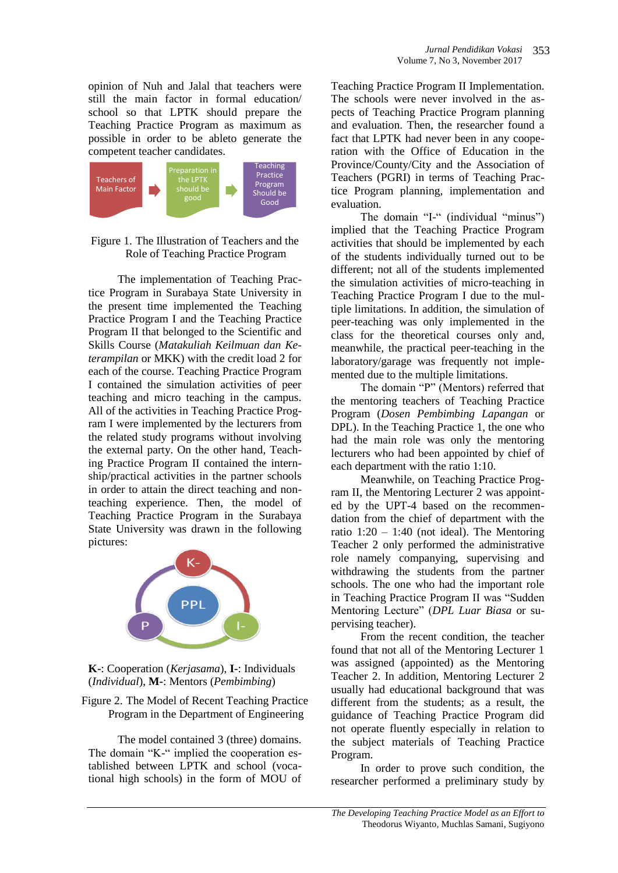opinion of Nuh and Jalal that teachers were still the main factor in formal education/ school so that LPTK should prepare the Teaching Practice Program as maximum as possible in order to be ableto generate the competent teacher candidates.





The implementation of Teaching Practice Program in Surabaya State University in the present time implemented the Teaching Practice Program I and the Teaching Practice Program II that belonged to the Scientific and Skills Course (*Matakuliah Keilmuan dan Keterampilan* or MKK) with the credit load 2 for each of the course. Teaching Practice Program I contained the simulation activities of peer teaching and micro teaching in the campus. All of the activities in Teaching Practice Program I were implemented by the lecturers from the related study programs without involving the external party. On the other hand, Teaching Practice Program II contained the internship/practical activities in the partner schools in order to attain the direct teaching and nonteaching experience. Then, the model of Teaching Practice Program in the Surabaya State University was drawn in the following pictures:





Figure 2. The Model of Recent Teaching Practice Program in the Department of Engineering

The model contained 3 (three) domains. The domain "K-" implied the cooperation established between LPTK and school (vocational high schools) in the form of MOU of

Teaching Practice Program II Implementation. The schools were never involved in the aspects of Teaching Practice Program planning and evaluation. Then, the researcher found a fact that LPTK had never been in any cooperation with the Office of Education in the Province/County/City and the Association of Teachers (PGRI) in terms of Teaching Practice Program planning, implementation and evaluation.

The domain "I-" (individual "minus") implied that the Teaching Practice Program activities that should be implemented by each of the students individually turned out to be different; not all of the students implemented the simulation activities of micro-teaching in Teaching Practice Program I due to the multiple limitations. In addition, the simulation of peer-teaching was only implemented in the class for the theoretical courses only and, meanwhile, the practical peer-teaching in the laboratory/garage was frequently not implemented due to the multiple limitations.

The domain "P" (Mentors) referred that the mentoring teachers of Teaching Practice Program (*Dosen Pembimbing Lapangan* or DPL). In the Teaching Practice 1, the one who had the main role was only the mentoring lecturers who had been appointed by chief of each department with the ratio 1:10.

Meanwhile, on Teaching Practice Program II, the Mentoring Lecturer 2 was appointed by the UPT-4 based on the recommendation from the chief of department with the ratio  $1:20 - 1:40$  (not ideal). The Mentoring Teacher 2 only performed the administrative role namely companying, supervising and withdrawing the students from the partner schools. The one who had the important role in Teaching Practice Program II was "Sudden Mentoring Lecture" (*DPL Luar Biasa* or supervising teacher).

From the recent condition, the teacher found that not all of the Mentoring Lecturer 1 was assigned (appointed) as the Mentoring Teacher 2. In addition, Mentoring Lecturer 2 usually had educational background that was different from the students; as a result, the guidance of Teaching Practice Program did not operate fluently especially in relation to the subject materials of Teaching Practice Program.

In order to prove such condition, the researcher performed a preliminary study by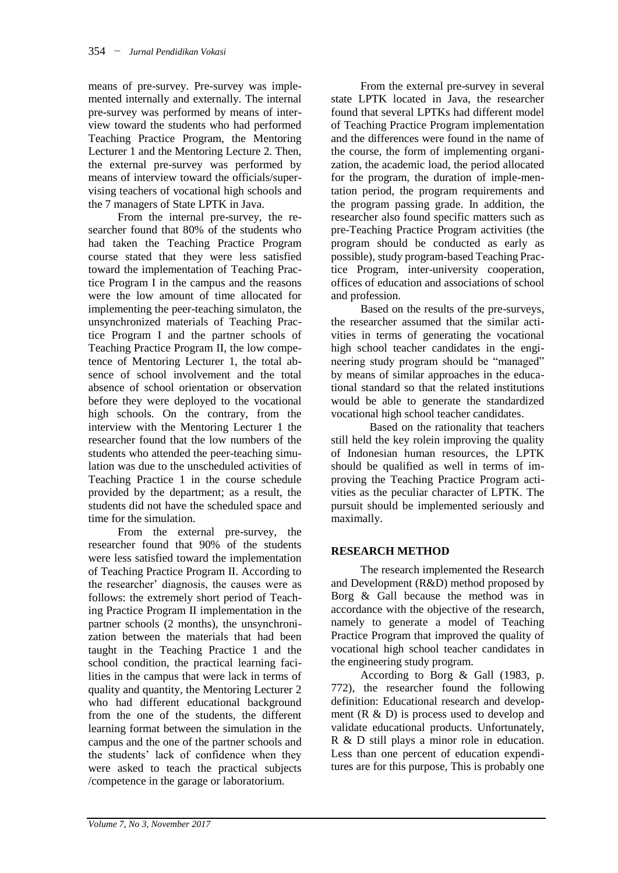means of pre-survey. Pre-survey was implemented internally and externally. The internal pre-survey was performed by means of interview toward the students who had performed Teaching Practice Program, the Mentoring Lecturer 1 and the Mentoring Lecture 2. Then, the external pre-survey was performed by means of interview toward the officials/supervising teachers of vocational high schools and the 7 managers of State LPTK in Java.

From the internal pre-survey, the researcher found that 80% of the students who had taken the Teaching Practice Program course stated that they were less satisfied toward the implementation of Teaching Practice Program I in the campus and the reasons were the low amount of time allocated for implementing the peer-teaching simulaton, the unsynchronized materials of Teaching Practice Program I and the partner schools of Teaching Practice Program II, the low competence of Mentoring Lecturer 1, the total absence of school involvement and the total absence of school orientation or observation before they were deployed to the vocational high schools. On the contrary, from the interview with the Mentoring Lecturer 1 the researcher found that the low numbers of the students who attended the peer-teaching simulation was due to the unscheduled activities of Teaching Practice 1 in the course schedule provided by the department; as a result, the students did not have the scheduled space and time for the simulation.

From the external pre-survey, the researcher found that 90% of the students were less satisfied toward the implementation of Teaching Practice Program II. According to the researcher' diagnosis, the causes were as follows: the extremely short period of Teaching Practice Program II implementation in the partner schools (2 months), the unsynchronization between the materials that had been taught in the Teaching Practice 1 and the school condition, the practical learning facilities in the campus that were lack in terms of quality and quantity, the Mentoring Lecturer 2 who had different educational background from the one of the students, the different learning format between the simulation in the campus and the one of the partner schools and the students' lack of confidence when they were asked to teach the practical subjects /competence in the garage or laboratorium.

From the external pre-survey in several state LPTK located in Java, the researcher found that several LPTKs had different model of Teaching Practice Program implementation and the differences were found in the name of the course, the form of implementing organization, the academic load, the period allocated for the program, the duration of imple-mentation period, the program requirements and the program passing grade. In addition, the researcher also found specific matters such as pre-Teaching Practice Program activities (the program should be conducted as early as possible), study program-based Teaching Practice Program, inter-university cooperation, offices of education and associations of school and profession.

Based on the results of the pre-surveys, the researcher assumed that the similar activities in terms of generating the vocational high school teacher candidates in the engineering study program should be "managed" by means of similar approaches in the educational standard so that the related institutions would be able to generate the standardized vocational high school teacher candidates.

Based on the rationality that teachers still held the key rolein improving the quality of Indonesian human resources, the LPTK should be qualified as well in terms of improving the Teaching Practice Program activities as the peculiar character of LPTK. The pursuit should be implemented seriously and maximally.

### **RESEARCH METHOD**

The research implemented the Research and Development (R&D) method proposed by Borg & Gall because the method was in accordance with the objective of the research, namely to generate a model of Teaching Practice Program that improved the quality of vocational high school teacher candidates in the engineering study program.

According to Borg & Gall (1983, p. 772), the researcher found the following definition: Educational research and development  $(R \& D)$  is process used to develop and validate educational products. Unfortunately, R & D still plays a minor role in education. Less than one percent of education expenditures are for this purpose, This is probably one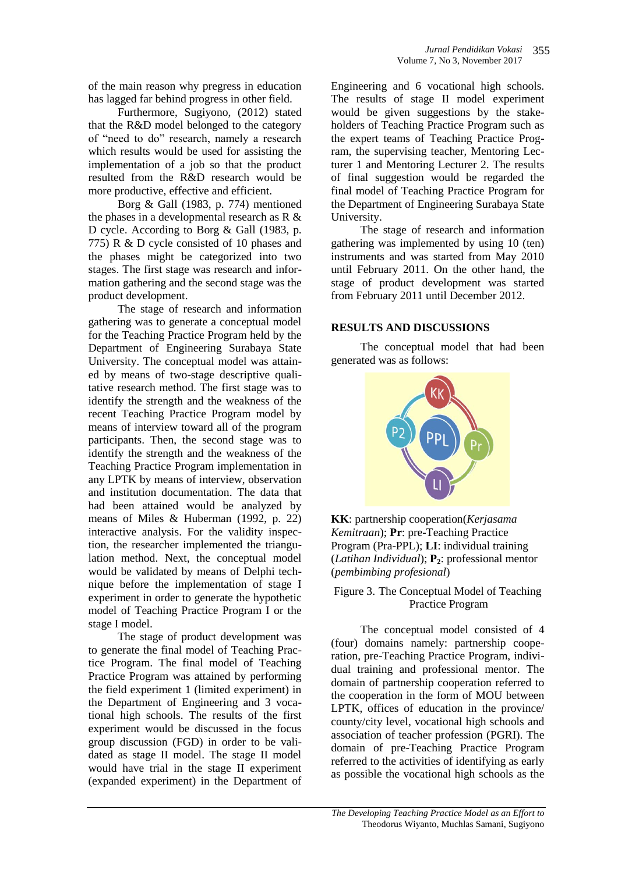of the main reason why pregress in education has lagged far behind progress in other field.

Furthermore, Sugiyono, (2012) stated that the R&D model belonged to the category of "need to do" research, namely a research which results would be used for assisting the implementation of a job so that the product resulted from the R&D research would be more productive, effective and efficient.

Borg & Gall (1983, p. 774) mentioned the phases in a developmental research as R & D cycle. According to Borg & Gall (1983, p. 775) R & D cycle consisted of 10 phases and the phases might be categorized into two stages. The first stage was research and information gathering and the second stage was the product development.

The stage of research and information gathering was to generate a conceptual model for the Teaching Practice Program held by the Department of Engineering Surabaya State University. The conceptual model was attained by means of two-stage descriptive qualitative research method. The first stage was to identify the strength and the weakness of the recent Teaching Practice Program model by means of interview toward all of the program participants. Then, the second stage was to identify the strength and the weakness of the Teaching Practice Program implementation in any LPTK by means of interview, observation and institution documentation. The data that had been attained would be analyzed by means of Miles & Huberman (1992, p. 22) interactive analysis. For the validity inspection, the researcher implemented the triangulation method. Next, the conceptual model would be validated by means of Delphi technique before the implementation of stage I experiment in order to generate the hypothetic model of Teaching Practice Program I or the stage I model.

The stage of product development was to generate the final model of Teaching Practice Program. The final model of Teaching Practice Program was attained by performing the field experiment 1 (limited experiment) in the Department of Engineering and 3 vocational high schools. The results of the first experiment would be discussed in the focus group discussion (FGD) in order to be validated as stage II model. The stage II model would have trial in the stage II experiment (expanded experiment) in the Department of

Engineering and 6 vocational high schools. The results of stage II model experiment would be given suggestions by the stakeholders of Teaching Practice Program such as the expert teams of Teaching Practice Program, the supervising teacher, Mentoring Lecturer 1 and Mentoring Lecturer 2. The results of final suggestion would be regarded the final model of Teaching Practice Program for the Department of Engineering Surabaya State University.

The stage of research and information gathering was implemented by using 10 (ten) instruments and was started from May 2010 until February 2011. On the other hand, the stage of product development was started from February 2011 until December 2012.

### **RESULTS AND DISCUSSIONS**

The conceptual model that had been generated was as follows:



**KK**: partnership cooperation(*Kerjasama Kemitraan*); **Pr**: pre-Teaching Practice Program (Pra-PPL); **LI**: individual training (*Latihan Individual*); **P2**: professional mentor (*pembimbing profesional*)

Figure 3. The Conceptual Model of Teaching Practice Program

The conceptual model consisted of 4 (four) domains namely: partnership cooperation, pre-Teaching Practice Program, individual training and professional mentor. The domain of partnership cooperation referred to the cooperation in the form of MOU between LPTK, offices of education in the province/ county/city level, vocational high schools and association of teacher profession (PGRI). The domain of pre-Teaching Practice Program referred to the activities of identifying as early as possible the vocational high schools as the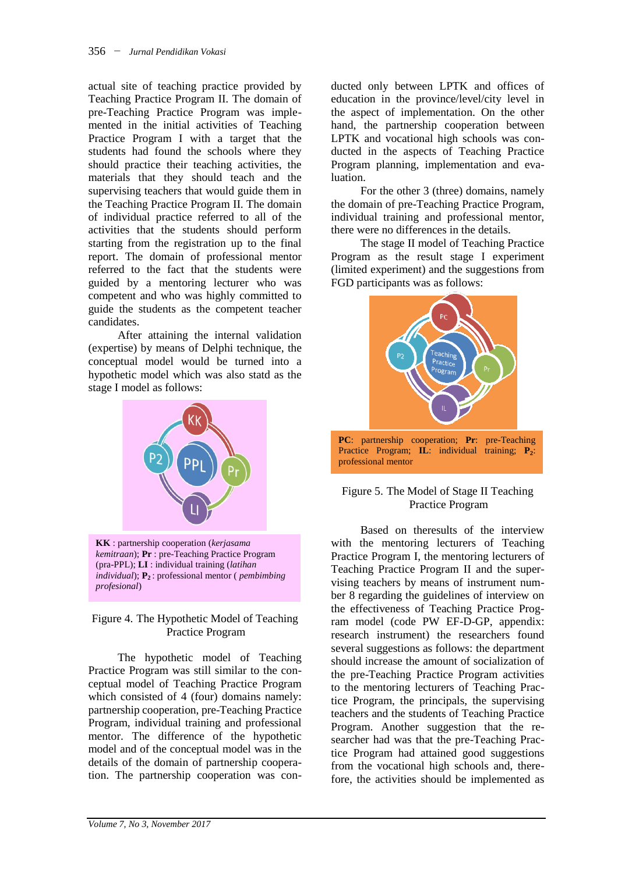actual site of teaching practice provided by Teaching Practice Program II. The domain of pre-Teaching Practice Program was implemented in the initial activities of Teaching Practice Program I with a target that the students had found the schools where they should practice their teaching activities, the materials that they should teach and the supervising teachers that would guide them in the Teaching Practice Program II. The domain of individual practice referred to all of the activities that the students should perform starting from the registration up to the final report. The domain of professional mentor referred to the fact that the students were guided by a mentoring lecturer who was competent and who was highly committed to guide the students as the competent teacher candidates.

After attaining the internal validation (expertise) by means of Delphi technique, the conceptual model would be turned into a hypothetic model which was also statd as the stage I model as follows:



**KK** : partnership cooperation (*kerjasama kemitraan*); **Pr** : pre-Teaching Practice Program (pra-PPL); **LI** : individual training (*latihan individual*); **P2** : professional mentor ( *pembimbing profesional*)

# Figure 4. The Hypothetic Model of Teaching Practice Program

The hypothetic model of Teaching Practice Program was still similar to the conceptual model of Teaching Practice Program which consisted of 4 (four) domains namely: partnership cooperation, pre-Teaching Practice Program, individual training and professional mentor. The difference of the hypothetic model and of the conceptual model was in the details of the domain of partnership cooperation. The partnership cooperation was con-

ducted only between LPTK and offices of education in the province/level/city level in the aspect of implementation. On the other hand, the partnership cooperation between LPTK and vocational high schools was conducted in the aspects of Teaching Practice Program planning, implementation and evaluation.

For the other 3 (three) domains, namely the domain of pre-Teaching Practice Program, individual training and professional mentor, there were no differences in the details.

The stage II model of Teaching Practice Program as the result stage I experiment (limited experiment) and the suggestions from FGD participants was as follows:



### Figure 5. The Model of Stage II Teaching Practice Program

Based on theresults of the interview with the mentoring lecturers of Teaching Practice Program I, the mentoring lecturers of Teaching Practice Program II and the supervising teachers by means of instrument number 8 regarding the guidelines of interview on the effectiveness of Teaching Practice Program model (code PW EF-D-GP, appendix: research instrument) the researchers found several suggestions as follows: the department should increase the amount of socialization of the pre-Teaching Practice Program activities to the mentoring lecturers of Teaching Practice Program, the principals, the supervising teachers and the students of Teaching Practice Program. Another suggestion that the researcher had was that the pre-Teaching Practice Program had attained good suggestions from the vocational high schools and, therefore, the activities should be implemented as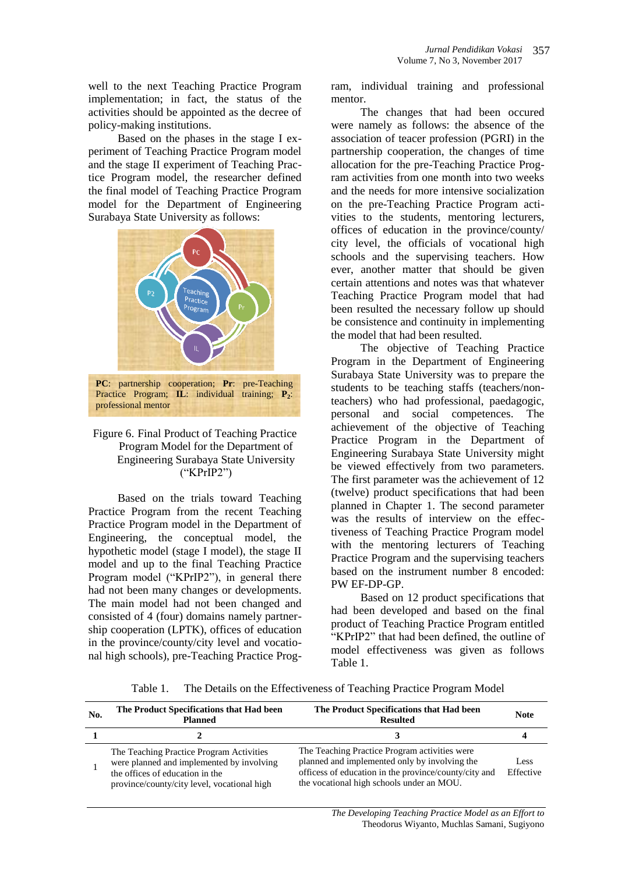well to the next Teaching Practice Program implementation; in fact, the status of the activities should be appointed as the decree of policy-making institutions.

Based on the phases in the stage I experiment of Teaching Practice Program model and the stage II experiment of Teaching Practice Program model, the researcher defined the final model of Teaching Practice Program model for the Department of Engineering Surabaya State University as follows:



Practice Program; **IL**: individual training; **P<sup>2</sup>** : professional mentor

#### Figure 6. Final Product of Teaching Practice Program Model for the Department of Engineering Surabaya State University ("KPrIP2")

Based on the trials toward Teaching Practice Program from the recent Teaching Practice Program model in the Department of Engineering, the conceptual model, the hypothetic model (stage I model), the stage II model and up to the final Teaching Practice Program model ("KPrIP2"), in general there had not been many changes or developments. The main model had not been changed and consisted of 4 (four) domains namely partnership cooperation (LPTK), offices of education in the province/county/city level and vocational high schools), pre-Teaching Practice Program, individual training and professional mentor.

The changes that had been occured were namely as follows: the absence of the association of teacer profession (PGRI) in the partnership cooperation, the changes of time allocation for the pre-Teaching Practice Program activities from one month into two weeks and the needs for more intensive socialization on the pre-Teaching Practice Program activities to the students, mentoring lecturers, offices of education in the province/county/ city level, the officials of vocational high schools and the supervising teachers. How ever, another matter that should be given certain attentions and notes was that whatever Teaching Practice Program model that had been resulted the necessary follow up should be consistence and continuity in implementing the model that had been resulted.

The objective of Teaching Practice Program in the Department of Engineering Surabaya State University was to prepare the students to be teaching staffs (teachers/nonteachers) who had professional, paedagogic, personal and social competences. The achievement of the objective of Teaching Practice Program in the Department of Engineering Surabaya State University might be viewed effectively from two parameters. The first parameter was the achievement of 12 (twelve) product specifications that had been planned in Chapter 1. The second parameter was the results of interview on the effectiveness of Teaching Practice Program model with the mentoring lecturers of Teaching Practice Program and the supervising teachers based on the instrument number 8 encoded: PW EF-DP-GP.

Based on 12 product specifications that had been developed and based on the final product of Teaching Practice Program entitled "KPrIP2" that had been defined, the outline of model effectiveness was given as follows Table 1.

Table 1. The Details on the Effectiveness of Teaching Practice Program Model

| No. | The Product Specifications that Had been<br><b>Planned</b>                                                                                                              | The Product Specifications that Had been<br><b>Resulted</b>                                                                                                                                          | <b>Note</b>       |
|-----|-------------------------------------------------------------------------------------------------------------------------------------------------------------------------|------------------------------------------------------------------------------------------------------------------------------------------------------------------------------------------------------|-------------------|
|     |                                                                                                                                                                         |                                                                                                                                                                                                      |                   |
|     | The Teaching Practice Program Activities<br>were planned and implemented by involving<br>the offices of education in the<br>province/county/city level, vocational high | The Teaching Practice Program activities were<br>planned and implemented only by involving the<br>officess of education in the province/county/city and<br>the vocational high schools under an MOU. | Less<br>Effective |

*The Developing Teaching Practice Model as an Effort to* Theodorus Wiyanto, Muchlas Samani, Sugiyono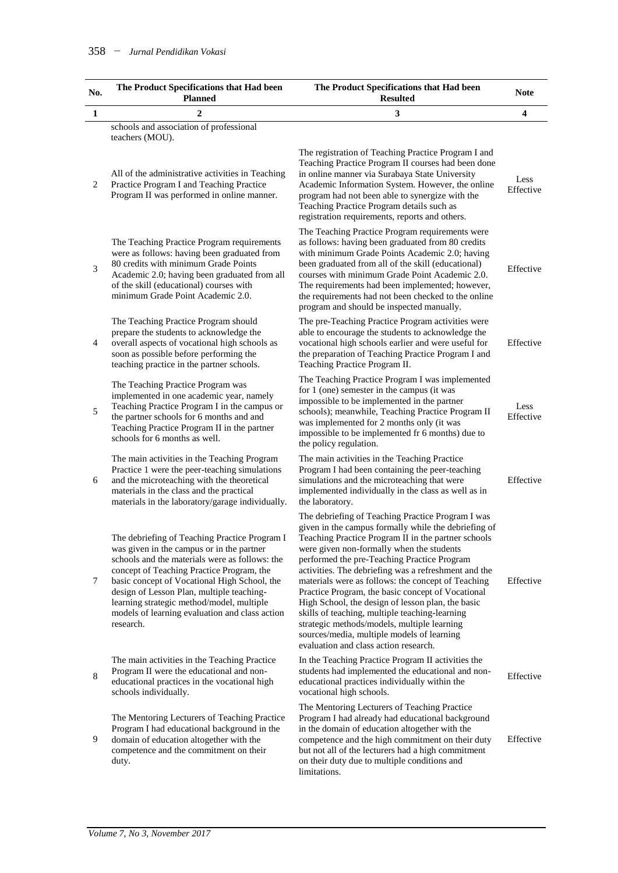| No. | The Product Specifications that Had been<br><b>Planned</b>                                                                                                                                                                                                                                                                                                                                         | The Product Specifications that Had been<br><b>Resulted</b>                                                                                                                                                                                                                                                                                                                                                                                                                                                                                                                                                                                                                  | <b>Note</b>       |
|-----|----------------------------------------------------------------------------------------------------------------------------------------------------------------------------------------------------------------------------------------------------------------------------------------------------------------------------------------------------------------------------------------------------|------------------------------------------------------------------------------------------------------------------------------------------------------------------------------------------------------------------------------------------------------------------------------------------------------------------------------------------------------------------------------------------------------------------------------------------------------------------------------------------------------------------------------------------------------------------------------------------------------------------------------------------------------------------------------|-------------------|
| 1   | 2                                                                                                                                                                                                                                                                                                                                                                                                  | 3                                                                                                                                                                                                                                                                                                                                                                                                                                                                                                                                                                                                                                                                            | 4                 |
|     | schools and association of professional<br>teachers (MOU).                                                                                                                                                                                                                                                                                                                                         |                                                                                                                                                                                                                                                                                                                                                                                                                                                                                                                                                                                                                                                                              |                   |
| 2   | All of the administrative activities in Teaching<br>Practice Program I and Teaching Practice<br>Program II was performed in online manner.                                                                                                                                                                                                                                                         | The registration of Teaching Practice Program I and<br>Teaching Practice Program II courses had been done<br>in online manner via Surabaya State University<br>Academic Information System. However, the online<br>program had not been able to synergize with the<br>Teaching Practice Program details such as<br>registration requirements, reports and others.                                                                                                                                                                                                                                                                                                            | Less<br>Effective |
| 3   | The Teaching Practice Program requirements<br>were as follows: having been graduated from<br>80 credits with minimum Grade Points<br>Academic 2.0; having been graduated from all<br>of the skill (educational) courses with<br>minimum Grade Point Academic 2.0.                                                                                                                                  | The Teaching Practice Program requirements were<br>as follows: having been graduated from 80 credits<br>with minimum Grade Points Academic 2.0; having<br>been graduated from all of the skill (educational)<br>courses with minimum Grade Point Academic 2.0.<br>The requirements had been implemented; however,<br>the requirements had not been checked to the online<br>program and should be inspected manually.                                                                                                                                                                                                                                                        | Effective         |
| 4   | The Teaching Practice Program should<br>prepare the students to acknowledge the<br>overall aspects of vocational high schools as<br>soon as possible before performing the<br>teaching practice in the partner schools.                                                                                                                                                                            | The pre-Teaching Practice Program activities were<br>able to encourage the students to acknowledge the<br>vocational high schools earlier and were useful for<br>the preparation of Teaching Practice Program I and<br>Teaching Practice Program II.                                                                                                                                                                                                                                                                                                                                                                                                                         | Effective         |
| 5   | The Teaching Practice Program was<br>implemented in one academic year, namely<br>Teaching Practice Program I in the campus or<br>the partner schools for 6 months and and<br>Teaching Practice Program II in the partner<br>schools for 6 months as well.                                                                                                                                          | The Teaching Practice Program I was implemented<br>for 1 (one) semester in the campus (it was<br>impossible to be implemented in the partner<br>schools); meanwhile, Teaching Practice Program II<br>was implemented for 2 months only (it was<br>impossible to be implemented fr 6 months) due to<br>the policy regulation.                                                                                                                                                                                                                                                                                                                                                 | Less<br>Effective |
| 6   | The main activities in the Teaching Program<br>Practice 1 were the peer-teaching simulations<br>and the microteaching with the theoretical<br>materials in the class and the practical<br>materials in the laboratory/garage individually.                                                                                                                                                         | The main activities in the Teaching Practice<br>Program I had been containing the peer-teaching<br>simulations and the microteaching that were<br>implemented individually in the class as well as in<br>the laboratory.                                                                                                                                                                                                                                                                                                                                                                                                                                                     | Effective         |
| 7   | The debriefing of Teaching Practice Program I<br>was given in the campus or in the partner<br>schools and the materials were as follows: the<br>concept of Teaching Practice Program, the<br>basic concept of Vocational High School, the<br>design of Lesson Plan, multiple teaching-<br>learning strategic method/model, multiple<br>models of learning evaluation and class action<br>research. | The debriefing of Teaching Practice Program I was<br>given in the campus formally while the debriefing of<br>Teaching Practice Program II in the partner schools<br>were given non-formally when the students<br>performed the pre-Teaching Practice Program<br>activities. The debriefing was a refreshment and the<br>materials were as follows: the concept of Teaching<br>Practice Program, the basic concept of Vocational<br>High School, the design of lesson plan, the basic<br>skills of teaching, multiple teaching-learning<br>strategic methods/models, multiple learning<br>sources/media, multiple models of learning<br>evaluation and class action research. | Effective         |
| 8   | The main activities in the Teaching Practice<br>Program II were the educational and non-<br>educational practices in the vocational high<br>schools individually.                                                                                                                                                                                                                                  | In the Teaching Practice Program II activities the<br>students had implemented the educational and non-<br>educational practices individually within the<br>vocational high schools.                                                                                                                                                                                                                                                                                                                                                                                                                                                                                         | Effective         |
| 9   | The Mentoring Lecturers of Teaching Practice<br>Program I had educational background in the<br>domain of education altogether with the<br>competence and the commitment on their<br>duty.                                                                                                                                                                                                          | The Mentoring Lecturers of Teaching Practice<br>Program I had already had educational background<br>in the domain of education altogether with the<br>competence and the high commitment on their duty<br>but not all of the lecturers had a high commitment<br>on their duty due to multiple conditions and<br>limitations.                                                                                                                                                                                                                                                                                                                                                 | Effective         |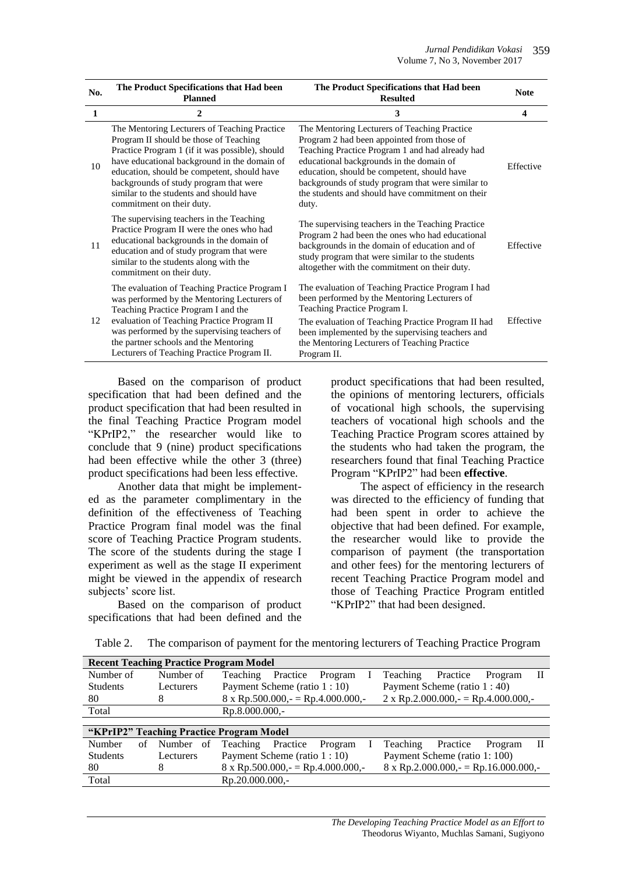| No. | The Product Specifications that Had been<br><b>Planned</b>                                                                                                                                                                                                                                                                                                 | The Product Specifications that Had been<br><b>Resulted</b>                                                                                                                                                                                                                                                                                                | <b>Note</b> |
|-----|------------------------------------------------------------------------------------------------------------------------------------------------------------------------------------------------------------------------------------------------------------------------------------------------------------------------------------------------------------|------------------------------------------------------------------------------------------------------------------------------------------------------------------------------------------------------------------------------------------------------------------------------------------------------------------------------------------------------------|-------------|
| 1   | $\mathbf{2}$                                                                                                                                                                                                                                                                                                                                               | 3                                                                                                                                                                                                                                                                                                                                                          | 4           |
| 10  | The Mentoring Lecturers of Teaching Practice<br>Program II should be those of Teaching<br>Practice Program 1 (if it was possible), should<br>have educational background in the domain of<br>education, should be competent, should have<br>backgrounds of study program that were<br>similar to the students and should have<br>commitment on their duty. | The Mentoring Lecturers of Teaching Practice<br>Program 2 had been appointed from those of<br>Teaching Practice Program 1 and had already had<br>educational backgrounds in the domain of<br>education, should be competent, should have<br>backgrounds of study program that were similar to<br>the students and should have commitment on their<br>duty. | Effective   |
| 11  | The supervising teachers in the Teaching<br>Practice Program II were the ones who had<br>educational backgrounds in the domain of<br>education and of study program that were<br>similar to the students along with the<br>commitment on their duty.                                                                                                       | The supervising teachers in the Teaching Practice<br>Program 2 had been the ones who had educational<br>backgrounds in the domain of education and of<br>study program that were similar to the students<br>altogether with the commitment on their duty.                                                                                                  | Effective   |
| 12  | The evaluation of Teaching Practice Program I<br>was performed by the Mentoring Lecturers of<br>Teaching Practice Program I and the<br>evaluation of Teaching Practice Program II<br>was performed by the supervising teachers of<br>the partner schools and the Mentoring<br>Lecturers of Teaching Practice Program II.                                   | The evaluation of Teaching Practice Program I had<br>been performed by the Mentoring Lecturers of<br>Teaching Practice Program I.<br>The evaluation of Teaching Practice Program II had<br>been implemented by the supervising teachers and<br>the Mentoring Lecturers of Teaching Practice<br>Program II.                                                 | Effective   |

Based on the comparison of product specification that had been defined and the product specification that had been resulted in the final Teaching Practice Program model "KPrIP2," the researcher would like to conclude that 9 (nine) product specifications had been effective while the other 3 (three) product specifications had been less effective.

Another data that might be implemented as the parameter complimentary in the definition of the effectiveness of Teaching Practice Program final model was the final score of Teaching Practice Program students. The score of the students during the stage I experiment as well as the stage II experiment might be viewed in the appendix of research subjects' score list.

Based on the comparison of product specifications that had been defined and the

product specifications that had been resulted, the opinions of mentoring lecturers, officials of vocational high schools, the supervising teachers of vocational high schools and the Teaching Practice Program scores attained by the students who had taken the program, the researchers found that final Teaching Practice Program "KPrIP2" had been **effective**.

The aspect of efficiency in the research was directed to the efficiency of funding that had been spent in order to achieve the objective that had been defined. For example, the researcher would like to provide the comparison of payment (the transportation and other fees) for the mentoring lecturers of recent Teaching Practice Program model and those of Teaching Practice Program entitled "KPrIP2" that had been designed.

| <b>Recent Teaching Practice Program Model</b> |              |                                                                                         |  |  |  |  |
|-----------------------------------------------|--------------|-----------------------------------------------------------------------------------------|--|--|--|--|
| Number of                                     | Number of    | Teaching<br>Practice<br>Teaching<br>Practice<br>Program<br>Program<br>Н                 |  |  |  |  |
| <b>Students</b>                               | Lecturers    | Payment Scheme (ratio 1 : 10)<br>Payment Scheme (ratio 1 : 40)                          |  |  |  |  |
| 80                                            | 8            | $8 \times$ Rp.500.000,- = Rp.4.000.000,-<br>2 x Rp.2.000.000, = Rp.4.000.000, -         |  |  |  |  |
| Total                                         |              | Rp.8.000.000,-                                                                          |  |  |  |  |
|                                               |              |                                                                                         |  |  |  |  |
| "KPrIP2" Teaching Practice Program Model      |              |                                                                                         |  |  |  |  |
| Number<br>of                                  | Number<br>of | Teaching<br>Practice<br>Teaching<br>Practice<br>Program<br>Program                      |  |  |  |  |
| <b>Students</b>                               | Lecturers    | Payment Scheme (ratio 1 : 10)<br>Payment Scheme (ratio 1: 100)                          |  |  |  |  |
| 80                                            | 8            | $8 \times$ Rp.2.000.000,- = Rp.16.000.000,-<br>$8 \times$ Rp.500.000,- = Rp.4.000.000,- |  |  |  |  |
| Total                                         |              | Rp.20.000.000.-                                                                         |  |  |  |  |

Table 2. The comparison of payment for the mentoring lecturers of Teaching Practice Program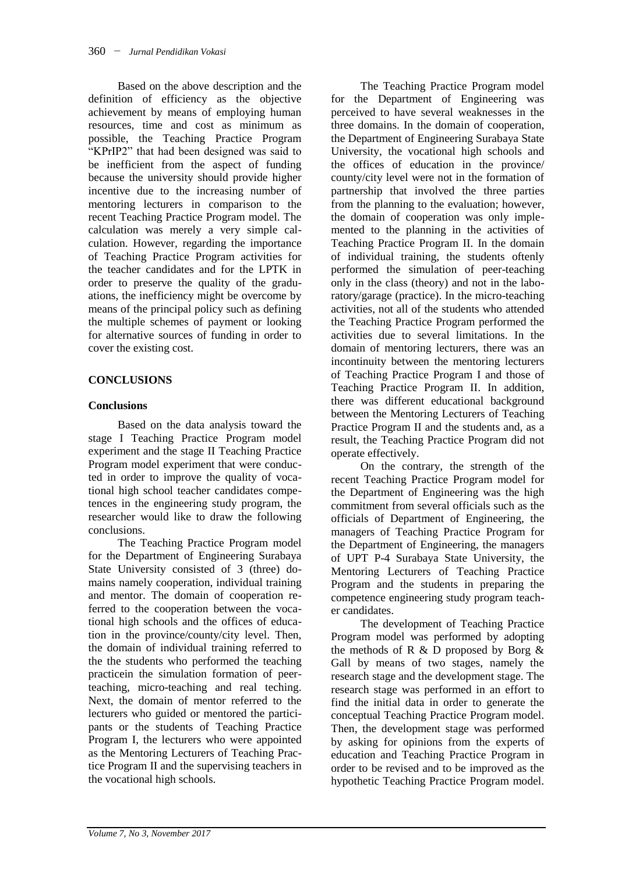Based on the above description and the definition of efficiency as the objective achievement by means of employing human resources, time and cost as minimum as possible, the Teaching Practice Program "KPrIP2" that had been designed was said to be inefficient from the aspect of funding because the university should provide higher incentive due to the increasing number of mentoring lecturers in comparison to the recent Teaching Practice Program model. The calculation was merely a very simple calculation. However, regarding the importance of Teaching Practice Program activities for the teacher candidates and for the LPTK in order to preserve the quality of the graduations, the inefficiency might be overcome by means of the principal policy such as defining the multiple schemes of payment or looking for alternative sources of funding in order to cover the existing cost.

# **CONCLUSIONS**

### **Conclusions**

Based on the data analysis toward the stage I Teaching Practice Program model experiment and the stage II Teaching Practice Program model experiment that were conducted in order to improve the quality of vocational high school teacher candidates competences in the engineering study program, the researcher would like to draw the following conclusions.

The Teaching Practice Program model for the Department of Engineering Surabaya State University consisted of 3 (three) domains namely cooperation, individual training and mentor. The domain of cooperation referred to the cooperation between the vocational high schools and the offices of education in the province/county/city level. Then, the domain of individual training referred to the the students who performed the teaching practicein the simulation formation of peerteaching, micro-teaching and real teching. Next, the domain of mentor referred to the lecturers who guided or mentored the participants or the students of Teaching Practice Program I, the lecturers who were appointed as the Mentoring Lecturers of Teaching Practice Program II and the supervising teachers in the vocational high schools.

The Teaching Practice Program model for the Department of Engineering was perceived to have several weaknesses in the three domains. In the domain of cooperation, the Department of Engineering Surabaya State University, the vocational high schools and the offices of education in the province/ county/city level were not in the formation of partnership that involved the three parties from the planning to the evaluation; however, the domain of cooperation was only implemented to the planning in the activities of Teaching Practice Program II. In the domain of individual training, the students oftenly performed the simulation of peer-teaching only in the class (theory) and not in the laboratory/garage (practice). In the micro-teaching activities, not all of the students who attended the Teaching Practice Program performed the activities due to several limitations. In the domain of mentoring lecturers, there was an incontinuity between the mentoring lecturers of Teaching Practice Program I and those of Teaching Practice Program II. In addition, there was different educational background between the Mentoring Lecturers of Teaching Practice Program II and the students and, as a result, the Teaching Practice Program did not operate effectively.

On the contrary, the strength of the recent Teaching Practice Program model for the Department of Engineering was the high commitment from several officials such as the officials of Department of Engineering, the managers of Teaching Practice Program for the Department of Engineering, the managers of UPT P-4 Surabaya State University, the Mentoring Lecturers of Teaching Practice Program and the students in preparing the competence engineering study program teacher candidates.

The development of Teaching Practice Program model was performed by adopting the methods of R  $\&$  D proposed by Borg  $\&$ Gall by means of two stages, namely the research stage and the development stage. The research stage was performed in an effort to find the initial data in order to generate the conceptual Teaching Practice Program model. Then, the development stage was performed by asking for opinions from the experts of education and Teaching Practice Program in order to be revised and to be improved as the hypothetic Teaching Practice Program model.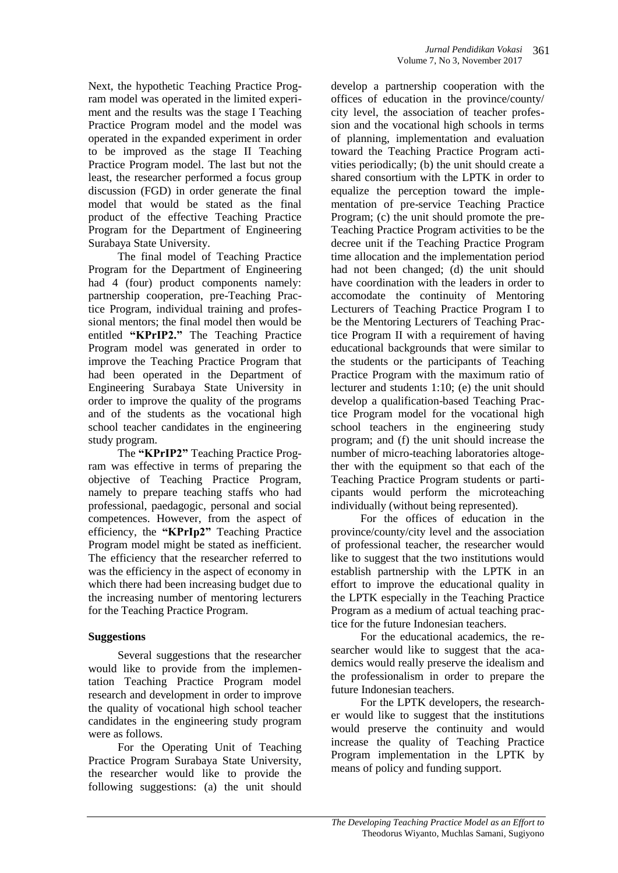Next, the hypothetic Teaching Practice Program model was operated in the limited experiment and the results was the stage I Teaching Practice Program model and the model was operated in the expanded experiment in order to be improved as the stage II Teaching Practice Program model. The last but not the least, the researcher performed a focus group discussion (FGD) in order generate the final model that would be stated as the final product of the effective Teaching Practice Program for the Department of Engineering Surabaya State University.

The final model of Teaching Practice Program for the Department of Engineering had 4 (four) product components namely: partnership cooperation, pre-Teaching Practice Program, individual training and professional mentors; the final model then would be entitled **"KPrIP2."** The Teaching Practice Program model was generated in order to improve the Teaching Practice Program that had been operated in the Department of Engineering Surabaya State University in order to improve the quality of the programs and of the students as the vocational high school teacher candidates in the engineering study program.

The **"KPrIP2"** Teaching Practice Program was effective in terms of preparing the objective of Teaching Practice Program, namely to prepare teaching staffs who had professional, paedagogic, personal and social competences. However, from the aspect of efficiency, the **"KPrIp2"** Teaching Practice Program model might be stated as inefficient. The efficiency that the researcher referred to was the efficiency in the aspect of economy in which there had been increasing budget due to the increasing number of mentoring lecturers for the Teaching Practice Program.

### **Suggestions**

Several suggestions that the researcher would like to provide from the implementation Teaching Practice Program model research and development in order to improve the quality of vocational high school teacher candidates in the engineering study program were as follows.

For the Operating Unit of Teaching Practice Program Surabaya State University, the researcher would like to provide the following suggestions: (a) the unit should

develop a partnership cooperation with the offices of education in the province/county/ city level, the association of teacher profession and the vocational high schools in terms of planning, implementation and evaluation toward the Teaching Practice Program activities periodically; (b) the unit should create a shared consortium with the LPTK in order to equalize the perception toward the implementation of pre-service Teaching Practice Program; (c) the unit should promote the pre-Teaching Practice Program activities to be the decree unit if the Teaching Practice Program time allocation and the implementation period had not been changed; (d) the unit should have coordination with the leaders in order to accomodate the continuity of Mentoring Lecturers of Teaching Practice Program I to be the Mentoring Lecturers of Teaching Practice Program II with a requirement of having educational backgrounds that were similar to the students or the participants of Teaching Practice Program with the maximum ratio of lecturer and students 1:10; (e) the unit should develop a qualification-based Teaching Practice Program model for the vocational high school teachers in the engineering study program; and (f) the unit should increase the number of micro-teaching laboratories altogether with the equipment so that each of the Teaching Practice Program students or participants would perform the microteaching individually (without being represented).

For the offices of education in the province/county/city level and the association of professional teacher, the researcher would like to suggest that the two institutions would establish partnership with the LPTK in an effort to improve the educational quality in the LPTK especially in the Teaching Practice Program as a medium of actual teaching practice for the future Indonesian teachers.

For the educational academics, the researcher would like to suggest that the academics would really preserve the idealism and the professionalism in order to prepare the future Indonesian teachers.

For the LPTK developers, the researcher would like to suggest that the institutions would preserve the continuity and would increase the quality of Teaching Practice Program implementation in the LPTK by means of policy and funding support.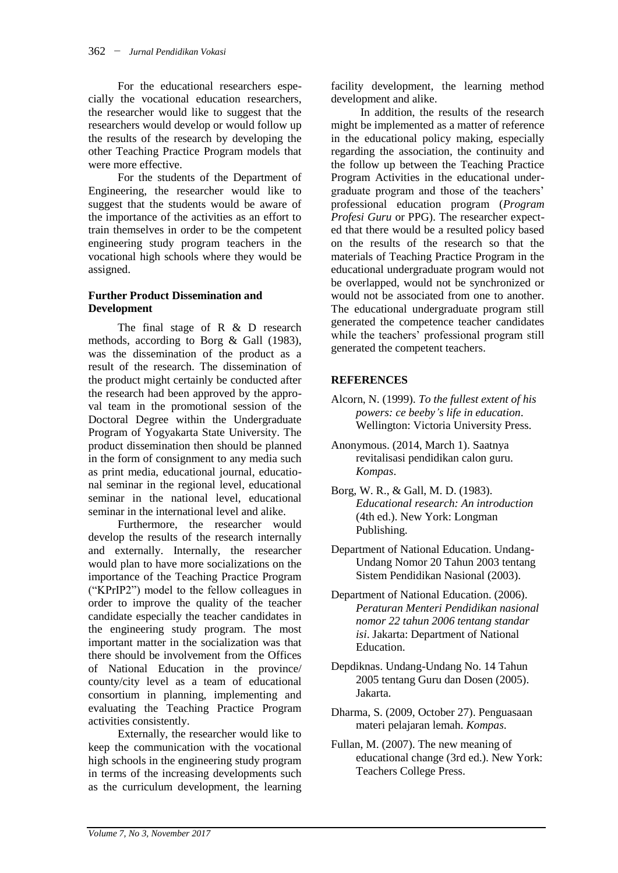For the educational researchers especially the vocational education researchers, the researcher would like to suggest that the researchers would develop or would follow up the results of the research by developing the other Teaching Practice Program models that were more effective.

For the students of the Department of Engineering, the researcher would like to suggest that the students would be aware of the importance of the activities as an effort to train themselves in order to be the competent engineering study program teachers in the vocational high schools where they would be assigned.

#### **Further Product Dissemination and Development**

The final stage of R & D research methods, according to Borg & Gall (1983), was the dissemination of the product as a result of the research. The dissemination of the product might certainly be conducted after the research had been approved by the approval team in the promotional session of the Doctoral Degree within the Undergraduate Program of Yogyakarta State University. The product dissemination then should be planned in the form of consignment to any media such as print media, educational journal, educational seminar in the regional level, educational seminar in the national level, educational seminar in the international level and alike.

Furthermore, the researcher would develop the results of the research internally and externally. Internally, the researcher would plan to have more socializations on the importance of the Teaching Practice Program ("KPrIP2") model to the fellow colleagues in order to improve the quality of the teacher candidate especially the teacher candidates in the engineering study program. The most important matter in the socialization was that there should be involvement from the Offices of National Education in the province/ county/city level as a team of educational consortium in planning, implementing and evaluating the Teaching Practice Program activities consistently.

Externally, the researcher would like to keep the communication with the vocational high schools in the engineering study program in terms of the increasing developments such as the curriculum development, the learning

facility development, the learning method development and alike.

In addition, the results of the research might be implemented as a matter of reference in the educational policy making, especially regarding the association, the continuity and the follow up between the Teaching Practice Program Activities in the educational undergraduate program and those of the teachers' professional education program (*Program Profesi Guru* or PPG). The researcher expected that there would be a resulted policy based on the results of the research so that the materials of Teaching Practice Program in the educational undergraduate program would not be overlapped, would not be synchronized or would not be associated from one to another. The educational undergraduate program still generated the competence teacher candidates while the teachers' professional program still generated the competent teachers.

### **REFERENCES**

- Alcorn, N. (1999). *To the fullest extent of his powers: ce beeby"s life in education*. Wellington: Victoria University Press.
- Anonymous. (2014, March 1). Saatnya revitalisasi pendidikan calon guru. *Kompas*.
- Borg, W. R., & Gall, M. D. (1983). *Educational research: An introduction* (4th ed.). New York: Longman Publishing.
- Department of National Education. Undang-Undang Nomor 20 Tahun 2003 tentang Sistem Pendidikan Nasional (2003).
- Department of National Education. (2006). *Peraturan Menteri Pendidikan nasional nomor 22 tahun 2006 tentang standar isi*. Jakarta: Department of National Education.
- Depdiknas. Undang-Undang No. 14 Tahun 2005 tentang Guru dan Dosen (2005). Jakarta.
- Dharma, S. (2009, October 27). Penguasaan materi pelajaran lemah. *Kompas*.
- Fullan, M. (2007). The new meaning of educational change (3rd ed.). New York: Teachers College Press.